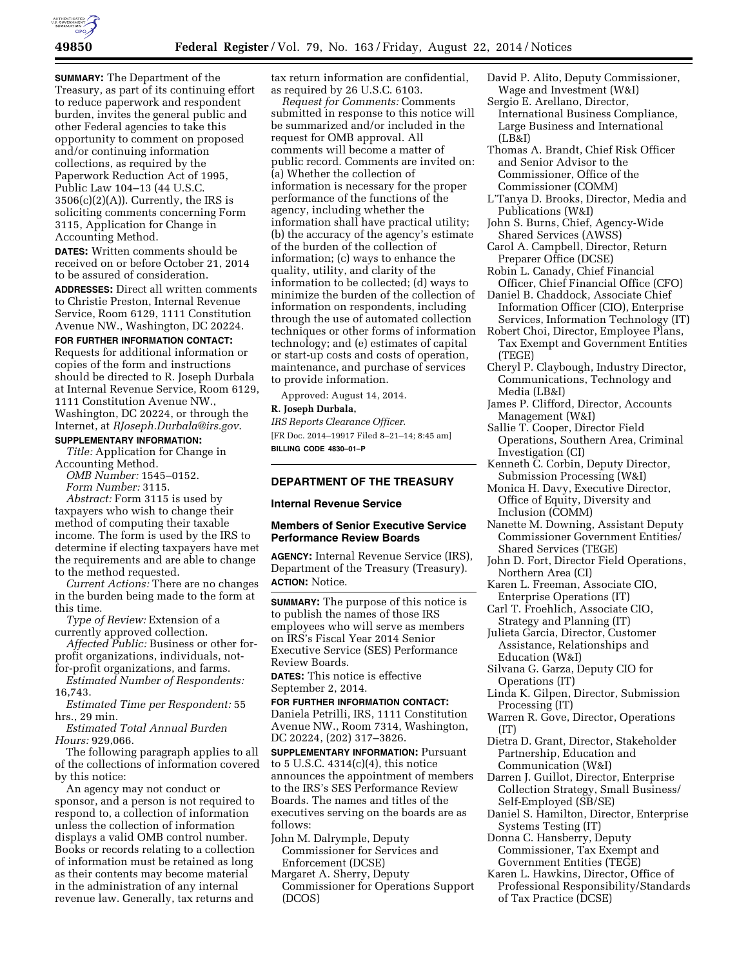

**SUMMARY:** The Department of the Treasury, as part of its continuing effort to reduce paperwork and respondent burden, invites the general public and other Federal agencies to take this opportunity to comment on proposed and/or continuing information collections, as required by the Paperwork Reduction Act of 1995, Public Law 104–13 (44 U.S.C.  $3506(c)(2)(A)$ ). Currently, the IRS is soliciting comments concerning Form 3115, Application for Change in Accounting Method.

**DATES:** Written comments should be received on or before October 21, 2014 to be assured of consideration.

**ADDRESSES:** Direct all written comments to Christie Preston, Internal Revenue Service, Room 6129, 1111 Constitution Avenue NW., Washington, DC 20224.

#### **FOR FURTHER INFORMATION CONTACT:**

Requests for additional information or copies of the form and instructions should be directed to R. Joseph Durbala at Internal Revenue Service, Room 6129, 1111 Constitution Avenue NW., Washington, DC 20224, or through the Internet, at *[RJoseph.Durbala@irs.gov](mailto:RJoseph.Durbala@irs.gov)*.

### **SUPPLEMENTARY INFORMATION:**

*Title:* Application for Change in Accounting Method.

*OMB Number:* 1545–0152. *Form Number:* 3115.

*Abstract:* Form 3115 is used by taxpayers who wish to change their method of computing their taxable income. The form is used by the IRS to determine if electing taxpayers have met the requirements and are able to change to the method requested.

*Current Actions:* There are no changes in the burden being made to the form at this time.

*Type of Review:* Extension of a currently approved collection.

*Affected Public:* Business or other forprofit organizations, individuals, notfor-profit organizations, and farms.

*Estimated Number of Respondents:*  16,743.

*Estimated Time per Respondent:* 55 hrs., 29 min.

*Estimated Total Annual Burden Hours:* 929,066.

The following paragraph applies to all of the collections of information covered by this notice:

An agency may not conduct or sponsor, and a person is not required to respond to, a collection of information unless the collection of information displays a valid OMB control number. Books or records relating to a collection of information must be retained as long as their contents may become material in the administration of any internal revenue law. Generally, tax returns and

tax return information are confidential, as required by 26 U.S.C. 6103.

*Request for Comments:* Comments submitted in response to this notice will be summarized and/or included in the request for OMB approval. All comments will become a matter of public record. Comments are invited on: (a) Whether the collection of information is necessary for the proper performance of the functions of the agency, including whether the information shall have practical utility; (b) the accuracy of the agency's estimate of the burden of the collection of information; (c) ways to enhance the quality, utility, and clarity of the information to be collected; (d) ways to minimize the burden of the collection of information on respondents, including through the use of automated collection techniques or other forms of information technology; and (e) estimates of capital or start-up costs and costs of operation, maintenance, and purchase of services to provide information.

Approved: August 14, 2014.

# **R. Joseph Durbala,**

*IRS Reports Clearance Officer.*  [FR Doc. 2014–19917 Filed 8–21–14; 8:45 am] **BILLING CODE 4830–01–P** 

## **DEPARTMENT OF THE TREASURY**

#### **Internal Revenue Service**

#### **Members of Senior Executive Service Performance Review Boards**

**AGENCY:** Internal Revenue Service (IRS), Department of the Treasury (Treasury). **ACTION:** Notice.

**SUMMARY:** The purpose of this notice is to publish the names of those IRS employees who will serve as members on IRS's Fiscal Year 2014 Senior Executive Service (SES) Performance Review Boards.

**DATES:** This notice is effective September 2, 2014.

**FOR FURTHER INFORMATION CONTACT:**  Daniela Petrilli, IRS, 1111 Constitution Avenue NW., Room 7314, Washington, DC 20224, (202) 317–3826.

**SUPPLEMENTARY INFORMATION: Pursuant** to 5 U.S.C. 4314(c)(4), this notice announces the appointment of members to the IRS's SES Performance Review Boards. The names and titles of the executives serving on the boards are as follows:

- John M. Dalrymple, Deputy Commissioner for Services and Enforcement (DCSE)
- Margaret A. Sherry, Deputy Commissioner for Operations Support (DCOS)
- David P. Alito, Deputy Commissioner, Wage and Investment (W&I) Sergio E. Arellano, Director,
	- International Business Compliance, Large Business and International (LB&I)
- Thomas A. Brandt, Chief Risk Officer and Senior Advisor to the Commissioner, Office of the Commissioner (COMM)
- L'Tanya D. Brooks, Director, Media and Publications (W&I)
- John S. Burns, Chief, Agency-Wide Shared Services (AWSS)
- Carol A. Campbell, Director, Return Preparer Office (DCSE)
- Robin L. Canady, Chief Financial Officer, Chief Financial Office (CFO) Daniel B. Chaddock, Associate Chief
- Information Officer (CIO), Enterprise Services, Information Technology (IT)
- Robert Choi, Director, Employee Plans, Tax Exempt and Government Entities (TEGE)
- Cheryl P. Claybough, Industry Director, Communications, Technology and Media (LB&I)
- James P. Clifford, Director, Accounts Management (W&I)
- Sallie T. Cooper, Director Field Operations, Southern Area, Criminal Investigation (CI)
- Kenneth C. Corbin, Deputy Director, Submission Processing (W&I)
- Monica H. Davy, Executive Director, Office of Equity, Diversity and Inclusion (COMM)
- Nanette M. Downing, Assistant Deputy Commissioner Government Entities/ Shared Services (TEGE)
- John D. Fort, Director Field Operations, Northern Area (CI)
- Karen L. Freeman, Associate CIO, Enterprise Operations (IT)
- Carl T. Froehlich, Associate CIO, Strategy and Planning (IT)
- Julieta Garcia, Director, Customer Assistance, Relationships and Education (W&I)
- Silvana G. Garza, Deputy CIO for Operations (IT)
- Linda K. Gilpen, Director, Submission Processing (IT)
- Warren R. Gove, Director, Operations (IT)
- Dietra D. Grant, Director, Stakeholder Partnership, Education and Communication (W&I)
- Darren J. Guillot, Director, Enterprise Collection Strategy, Small Business/ Self-Employed (SB/SE)
- Daniel S. Hamilton, Director, Enterprise Systems Testing (IT)
- Donna C. Hansberry, Deputy Commissioner, Tax Exempt and Government Entities (TEGE)
- Karen L. Hawkins, Director, Office of Professional Responsibility/Standards of Tax Practice (DCSE)